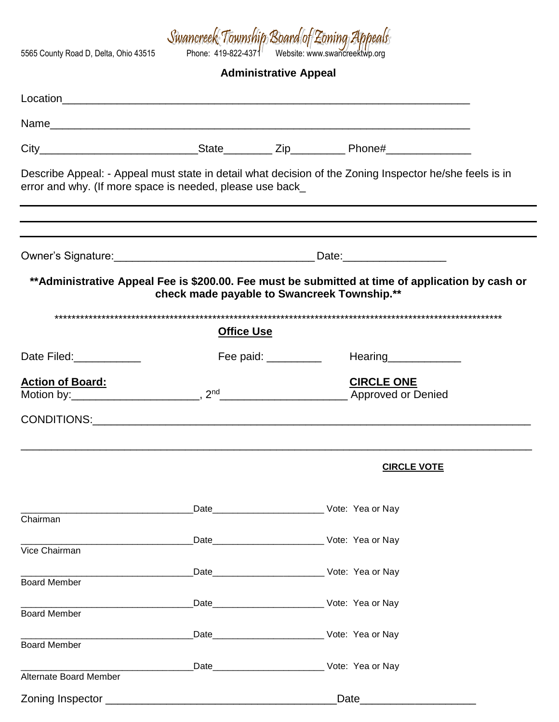Swancneek Township Board of Eoning Appeals<br>Formula 202-4371 Website: www.swancreektwp.org

**Administrative Appeal**

| error and why. (If more space is needed, please use back_ |                   | Describe Appeal: - Appeal must state in detail what decision of the Zoning Inspector he/she feels is in                                         |  |
|-----------------------------------------------------------|-------------------|-------------------------------------------------------------------------------------------------------------------------------------------------|--|
|                                                           |                   |                                                                                                                                                 |  |
|                                                           |                   | **Administrative Appeal Fee is \$200.00. Fee must be submitted at time of application by cash or<br>check made payable to Swancreek Township.** |  |
|                                                           | <b>Office Use</b> |                                                                                                                                                 |  |
| Date Filed: <b>National Property</b>                      |                   | Fee paid: __________<br>Hearing______________                                                                                                   |  |
| <b>Action of Board:</b>                                   |                   | <b>CIRCLE ONE</b><br>Motion by: Motion by: 2 <sup>nd</sup> 2 <sup>nd</sup> 2 <sup>nd</sup> Approved or Denied                                   |  |
|                                                           |                   |                                                                                                                                                 |  |
|                                                           |                   | <b>CIRCLE VOTE</b>                                                                                                                              |  |
| Chairman                                                  |                   |                                                                                                                                                 |  |
| Vice Chairman                                             |                   |                                                                                                                                                 |  |
| <b>Board Member</b>                                       |                   |                                                                                                                                                 |  |
| <b>Board Member</b>                                       |                   |                                                                                                                                                 |  |
| <b>Board Member</b>                                       |                   |                                                                                                                                                 |  |
| Alternate Board Member                                    |                   |                                                                                                                                                 |  |
|                                                           |                   | Date_________                                                                                                                                   |  |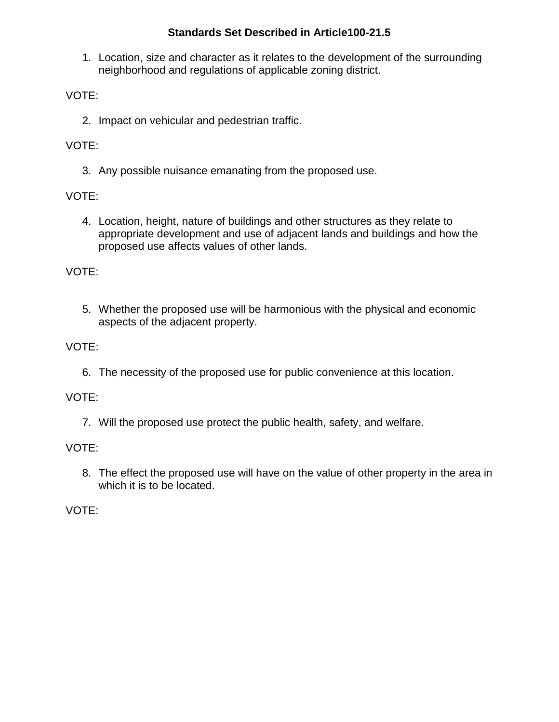## **Standards Set Described in Article100-21.5**

1. Location, size and character as it relates to the development of the surrounding neighborhood and regulations of applicable zoning district.

VOTE:

2. Impact on vehicular and pedestrian traffic.

VOTE:

3. Any possible nuisance emanating from the proposed use.

VOTE:

4. Location, height, nature of buildings and other structures as they relate to appropriate development and use of adjacent lands and buildings and how the proposed use affects values of other lands.

VOTE:

5. Whether the proposed use will be harmonious with the physical and economic aspects of the adjacent property.

VOTE:

6. The necessity of the proposed use for public convenience at this location.

VOTE:

7. Will the proposed use protect the public health, safety, and welfare.

VOTE:

8. The effect the proposed use will have on the value of other property in the area in which it is to be located.

VOTE: